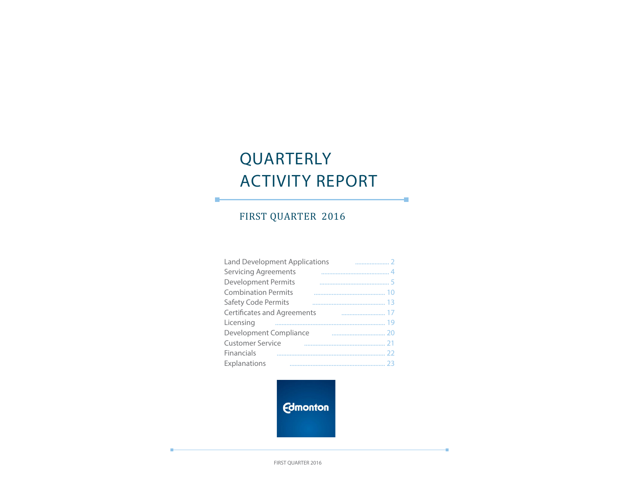# QUARTERLY ACTIVITY REPORT

÷

÷

# FIRST QUARTER 2016

П

| <b>Land Development Applications</b> |  |
|--------------------------------------|--|
| <b>Servicing Agreements</b>          |  |
| <b>Development Permits</b>           |  |
| <b>Combination Permits</b>           |  |
| Safety Code Permits                  |  |
| <b>Certificates and Agreements</b>   |  |
| Licensing                            |  |
| Development Compliance               |  |
| <b>Customer Service</b>              |  |
| Financials                           |  |
| Explanations                         |  |

**Edmonton** 

FIRST QUARTER 2016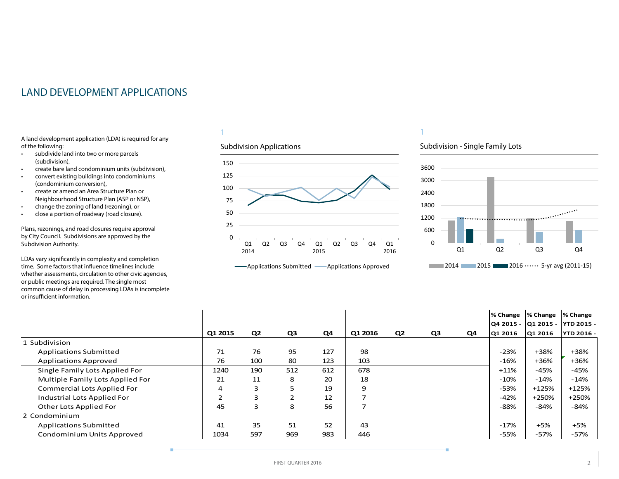# <span id="page-1-0"></span>LAND DEVELOPMENT APPLICATIONS

A land development application (LDA) is required for any of the following:

- subdivide land into two or more parcels (subdivision),
- create bare land condominium units (subdivision),
- convert existing buildings into condominiums (condominium conversion),
- create or amend an Area Structure Plan or Neighbourhood Structure Plan (ASP or NSP),
- change the zoning of land (rezoning), or
- close a portion of roadway (road closure).

Plans, rezonings, and road closures require approval by City Council. Subdivisions are approved by the Subdivision Authority.

LDAs vary significantly in complexity and completion time. Some factors that influence timelines include whether assessments, circulation to other civic agencies, or public meetings are required. The single most common cause of delay in processing LDAs is incomplete or insufficient information.

#### 1

#### Subdivision Applications



# **-**Applications Submitted - Applications Approved

# 1

#### Subdivision - Single Family Lots



|                                    |         |                |     |     |         |                |    |    | % Change  % Change  % Change |         | Q4 2015 -  Q1 2015 -  YTD 2015 - |
|------------------------------------|---------|----------------|-----|-----|---------|----------------|----|----|------------------------------|---------|----------------------------------|
|                                    | Q1 2015 | Q <sub>2</sub> | Q3  | Q4  | Q1 2016 | Q <sub>2</sub> | Q3 | Q4 | Q1 2016                      | Q1 2016 | <b>YTD 2016 -</b>                |
| Subdivision                        |         |                |     |     |         |                |    |    |                              |         |                                  |
| <b>Applications Submitted</b>      | 71      | 76             | 95  | 127 | 98      |                |    |    | $-23%$                       | +38%    | +38%                             |
| <b>Applications Approved</b>       | 76      | 100            | 80  | 123 | 103     |                |    |    | $-16%$                       | $+36%$  | +36%                             |
| Single Family Lots Applied For     | 1240    | 190            | 512 | 612 | 678     |                |    |    | $+11\%$                      | $-45%$  | $-45%$                           |
| Multiple Family Lots Applied For   | 21      | 11             | 8   | 20  | 18      |                |    |    | $-10%$                       | $-14%$  | $-14%$                           |
| <b>Commercial Lots Applied For</b> | 4       | 3              | ∍   | 19  | 9       |                |    |    | -53%                         | $+125%$ | $+125%$                          |
| Industrial Lots Applied For        | っ       | 3              |     | 12  |         |                |    |    | $-42%$                       | +250%   | +250%                            |
| Other Lots Applied For             | 45      | 3              | 8   | 56  |         |                |    |    | $-88%$                       | -84%    | $-84%$                           |
| 2 Condominium                      |         |                |     |     |         |                |    |    |                              |         |                                  |
| <b>Applications Submitted</b>      | 41      | 35             | 51  | 52  | 43      |                |    |    | $-17%$                       | $+5%$   | $+5%$                            |
| Condominium Units Approved         | 1034    | 597            | 969 | 983 | 446     |                |    |    | -55%                         | $-57%$  | -57%                             |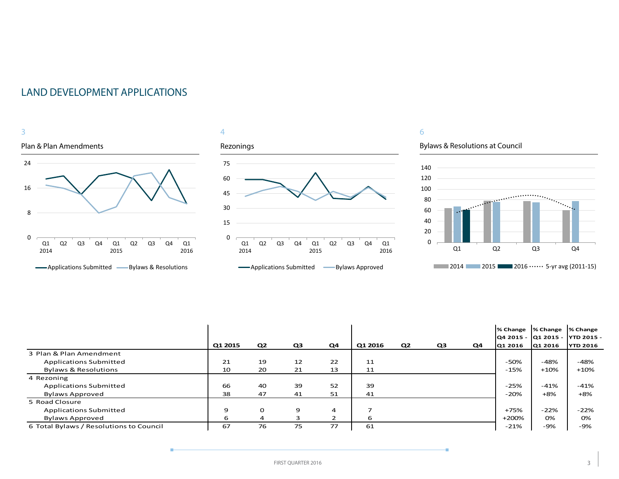







# 6

Bylaws & Resolutions at Council

÷.



|                                         |         |                |    |    |         |                |    |    | % Change                         | S Change S Change |                 |
|-----------------------------------------|---------|----------------|----|----|---------|----------------|----|----|----------------------------------|-------------------|-----------------|
|                                         |         |                |    |    |         |                |    |    | Q4 2015 -  Q1 2015 -  YTD 2015 - |                   |                 |
|                                         | Q1 2015 | Q <sub>2</sub> | Q3 | Q4 | Q1 2016 | Q <sub>2</sub> | Q3 | Q4 | Q1 2016                          | Q1 2016           | <b>YTD 2016</b> |
| 3 Plan & Plan Amendment                 |         |                |    |    |         |                |    |    |                                  |                   |                 |
| <b>Applications Submitted</b>           | 21      | 19             | 12 | 22 | 11      |                |    |    | -50%                             | $-48%$            | -48%            |
| <b>Bylaws &amp; Resolutions</b>         | 10      | 20             | 21 | 13 | 11      |                |    |    | -15%                             | $+10%$            | $+10%$          |
| 4 Rezoning                              |         |                |    |    |         |                |    |    |                                  |                   |                 |
| <b>Applications Submitted</b>           | 66      | 40             | 39 | 52 | 39      |                |    |    | $-25%$                           | $-41%$            | $-41%$          |
| <b>Bylaws Approved</b>                  | 38      | 47             | 41 | 51 | 41      |                |    |    | $-20%$                           | $+8%$             | $+8%$           |
| 5 Road Closure                          |         |                |    |    |         |                |    |    |                                  |                   |                 |
| <b>Applications Submitted</b>           | 9       | 0              | 9  | 4  |         |                |    |    | +75%                             | $-22%$            | $-22%$          |
| <b>Bylaws Approved</b>                  | 6       | 4              | 3  |    | 6       |                |    |    | +200%                            | 0%                | 0%              |
| 6 Total Bylaws / Resolutions to Council | 67      | 76             | 75 | 77 | 61      |                |    |    | $-21%$                           | -9%               | -9%             |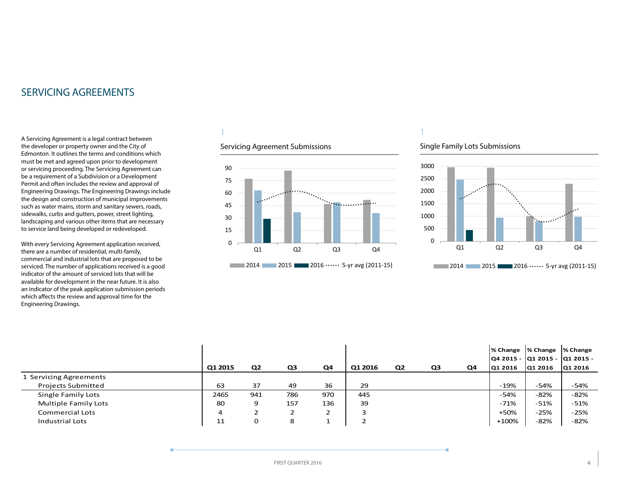# <span id="page-3-0"></span>SERVICING AGREEMENTS

A Servicing Agreement is a legal contract between the developer or property owner and the City of Edmonton. It outlines the terms and conditions which must be met and agreed upon prior to development or servicing proceeding. The Servicing Agreement can be a requirement of a Subdivision or a Development Permit and often includes the review and approval of Engineering Drawings. The Engineering Drawings include the design and construction of municipal improvements such as water mains, storm and sanitary sewers, roads, sidewalks, curbs and gutters, power, street lighting, landscaping and various other items that are necessary to service land being developed or redeveloped.

With every Servicing Agreement application received, there are a number of residential, multi-family, commercial and industrial lots that are proposed to be serviced. The number of applications received is a good indicator of the amount of serviced lots that will be available for development in the near future. It is also an indicator of the peak application submission periods which affects the review and approval time for the Engineering Drawings.

# 1

# Servicing Agreement Submissions



#### Single Family Lots Submissions

1



|                           |         |                |     |                |         |                |    |    |         | % Change  % Change  % Change    |         |
|---------------------------|---------|----------------|-----|----------------|---------|----------------|----|----|---------|---------------------------------|---------|
|                           |         |                |     |                |         |                |    |    |         | Q4 2015 -  Q1 2015 -  Q1 2015 - |         |
|                           | Q1 2015 | Q <sub>2</sub> | Q3  | Q4             | Q1 2016 | Q <sub>2</sub> | Q3 | Q4 | Q1 2016 | Q1 2016                         | Q1 2016 |
| 1 Servicing Agreements    |         |                |     |                |         |                |    |    |         |                                 |         |
| <b>Projects Submitted</b> | 63      | 37             | 49  | 36             | 29      |                |    |    | -19%    | -54%                            | $-54%$  |
| Single Family Lots        | 2465    | 941            | 786 | 970            | 445     |                |    |    | $-54%$  | -82%                            | -82%    |
| Multiple Family Lots      | 80      | 9              | 157 | 136            | 39      |                |    |    | -71%    | $-51%$                          | -51%    |
| Commercial Lots           | 4       |                |     | C.<br><u>.</u> |         |                |    |    | $+50%$  | $-25%$                          | $-25%$  |
| Industrial Lots           | 11      | 0              | 8   |                |         |                |    |    | +100%   | -82%                            | $-82%$  |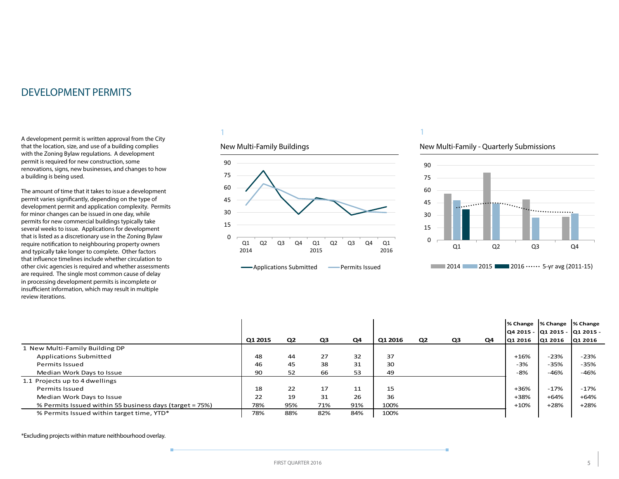<span id="page-4-0"></span>A development permit is written approval from the City that the location, size, and use of a building complies with the Zoning Bylaw regulations. A development permit is required for new construction, some renovations, signs, new businesses, and changes to how a building is being used.

The amount of time that it takes to issue a development permit varies significantly, depending on the type of development permit and application complexity. Permits for minor changes can be issued in one day, while permits for new commercial buildings typically take several weeks to issue. Applications for development that is listed as a discretionary use in the Zoning Bylaw require notification to neighbouring property owners and typically take longer to complete. Other factors that influence timelines include whether circulation to other civic agencies is required and whether assessments are required. The single most common cause of delay in processing development permits is incomplete or insufficient information, which may result in multiple review iterations.

#### 1

#### New Multi-Family Buildings



#### 1

#### New Multi-Family - Quarterly Submissions



|                                                         |         |                |                |     |         |                |    |    | % Change | % Change<br>lQ4 2015 - lQ1 2015 - lQ1 2015 - | % Change |
|---------------------------------------------------------|---------|----------------|----------------|-----|---------|----------------|----|----|----------|----------------------------------------------|----------|
|                                                         | Q1 2015 | Q <sub>2</sub> | Q <sub>3</sub> | Q4  | Q1 2016 | Q <sub>2</sub> | Q3 | Q4 | Q1 2016  | Q1 2016                                      | Q1 2016  |
| I New Multi-Family Building DP                          |         |                |                |     |         |                |    |    |          |                                              |          |
| <b>Applications Submitted</b>                           | 48      | 44             | 27             | 32  | 37      |                |    |    | $+16%$   | $-23%$                                       | $-23%$   |
| Permits Issued                                          | 46      | 45             | 38             | 31  | 30      |                |    |    | $-3%$    | $-35%$                                       | $-35%$   |
| Median Work Days to Issue                               | 90      | 52             | 66             | 53  | 49      |                |    |    | $-8%$    | $-46%$                                       | $-46%$   |
| 1.1 Projects up to 4 dwellings                          |         |                |                |     |         |                |    |    |          |                                              |          |
| Permits Issued                                          | 18      | 22             | 17             | 11  | 15      |                |    |    | $+36%$   | $-17%$                                       | $-17%$   |
| Median Work Days to Issue                               | 22      | 19             | 31             | 26  | 36      |                |    |    | +38%     | $+64%$                                       | $+64%$   |
| % Permits Issued within 55 business days (target = 75%) | 78%     | 95%            | 71%            | 91% | 100%    |                |    |    | $+10%$   | $+28%$                                       | $+28%$   |
| % Permits Issued within target time, YTD*               | 78%     | 88%            | 82%            | 84% | 100%    |                |    |    |          |                                              |          |

\*Excluding projects within mature neithbourhood overlay.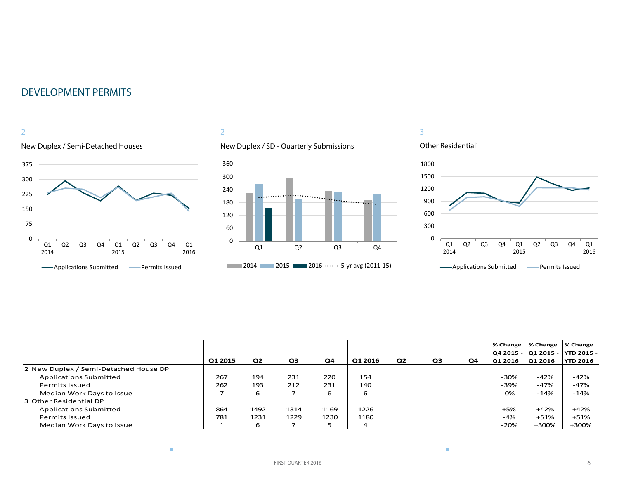

### 2

# New Duplex / SD - Quarterly Submissions



# Other Residential<sup>1</sup> 0 300 600 900 1200 1500 1800 Q1 Q2 Q3 Q4 Q1 Q2 Q3 Q4 Q1

3



| -Permits Issued<br>-Applications Submitted |
|--------------------------------------------|
|                                            |

|                                       |         |                |                |      |                |                |                |    | % Change  % Change |         | % Change                         |
|---------------------------------------|---------|----------------|----------------|------|----------------|----------------|----------------|----|--------------------|---------|----------------------------------|
|                                       |         |                |                |      |                |                |                |    |                    |         | Q4 2015 -  Q1 2015 -  YTD 2015 - |
|                                       | Q1 2015 | Q <sub>2</sub> | Q <sub>3</sub> | Q4   | Q1 2016        | Q <sub>2</sub> | Q <sub>3</sub> | Q4 | lQ1 2016           | Q1 2016 | <b>YTD 2016</b>                  |
| 2 New Duplex / Semi-Detached House DP |         |                |                |      |                |                |                |    |                    |         |                                  |
| <b>Applications Submitted</b>         | 267     | 194            | 231            | 220  | 154            |                |                |    | -30%               | $-42%$  | $-42%$                           |
| Permits Issued                        | 262     | 193            | 212            | 231  | 140            |                |                |    | -39%               | $-47%$  | $-47%$                           |
| Median Work Days to Issue             |         | 6              |                | 6    | 6              |                |                |    | 0%                 | $-14%$  | -14%                             |
| 3 Other Residential DP                |         |                |                |      |                |                |                |    |                    |         |                                  |
| <b>Applications Submitted</b>         | 864     | 1492           | 1314           | 1169 | 1226           |                |                |    | $+5%$              | $+42%$  | $+42%$                           |
| Permits Issued                        | 781     | 1231           | 1229           | 1230 | 1180           |                |                |    | $-4%$              | $+51%$  | $+51%$                           |
| Median Work Days to Issue             |         | 6              |                |      | $\overline{a}$ |                |                |    | $-20%$             | +300%   | +300%                            |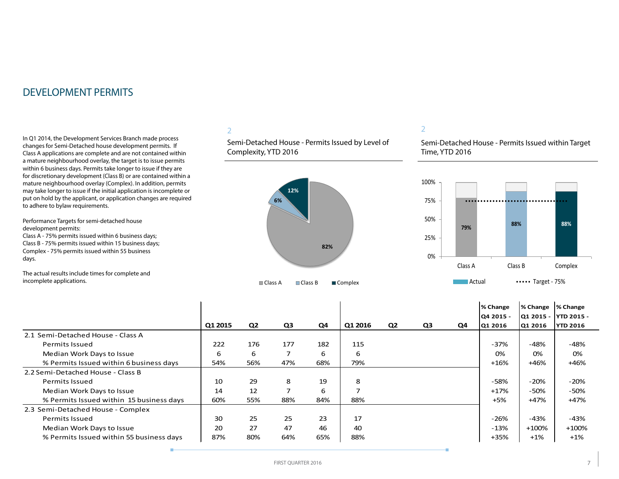In Q1 2014, the Development Services Branch made process changes for Semi-Detached house development permits. If Class A applications are complete and are not contained within a mature neighbourhood overlay, the target is to issue permits within 6 business days. Permits take longer to issue if they are for discretionary development (Class B) or are contained within a mature neighbourhood overlay (Complex). In addition, permits may take longer to issue if the initial application is incomplete or put on hold by the applicant, or application changes are required to adhere to bylaw requirements.

Performance Targets for semi-detached house development permits: Class A - 75% permits issued within 6 business days;

Class B - 75% permits issued within 15 business days; Complex - 75% permits issued within 55 business days.

The actual results include times for complete and incomplete applications.

### 2

Semi-Detached House - Permits Issued by Level of Complexity, YTD 2016



#### 2

Semi-Detached House - Permits Issued within Target Time, YTD 2016



|                                          | Q1 2015 | Q <sub>2</sub> | Q3  | Q4  | Q1 2016 | Q <sub>2</sub> | Q3 | Q4 | % Change<br><b>Q4 2015 -</b><br>Q1 2016 | % Change<br>Q1 2015 -<br>Q1 2016 | % Change<br> YTD 2015 -<br><b>YTD 2016</b> |
|------------------------------------------|---------|----------------|-----|-----|---------|----------------|----|----|-----------------------------------------|----------------------------------|--------------------------------------------|
| 2.1 Semi-Detached House - Class A        |         |                |     |     |         |                |    |    |                                         |                                  |                                            |
| <b>Permits Issued</b>                    | 222     | 176            | 177 | 182 | 115     |                |    |    | $-37%$                                  | $-48%$                           | $-48%$                                     |
| Median Work Days to Issue                | 6       | 6              | 7   | 6   | 6       |                |    |    | 0%                                      | 0%                               | 0%                                         |
| % Permits Issued within 6 business days  | 54%     | 56%            | 47% | 68% | 79%     |                |    |    | $+16%$                                  | $+46%$                           | +46%                                       |
| 2.2 Semi-Detached House - Class B        |         |                |     |     |         |                |    |    |                                         |                                  |                                            |
| <b>Permits Issued</b>                    | 10      | 29             | 8   | 19  | 8       |                |    |    | -58%                                    | $-20%$                           | $-20%$                                     |
| Median Work Days to Issue                | 14      | 12             | 7   | 6   | ⇁       |                |    |    | $+17%$                                  | -50%                             | $-50%$                                     |
| % Permits Issued within 15 business days | 60%     | 55%            | 88% | 84% | 88%     |                |    |    | $+5%$                                   | $+47%$                           | +47%                                       |
| 2.3 Semi-Detached House - Complex        |         |                |     |     |         |                |    |    |                                         |                                  |                                            |
| <b>Permits Issued</b>                    | 30      | 25             | 25  | 23  | 17      |                |    |    | $-26%$                                  | -43%                             | -43%                                       |
| Median Work Days to Issue                | 20      | 27             | 47  | 46  | 40      |                |    |    | $-13%$                                  | $+100%$                          | $+100%$                                    |
| % Permits Issued within 55 business days | 87%     | 80%            | 64% | 65% | 88%     |                |    |    | +35%                                    | $+1%$                            | $+1\%$                                     |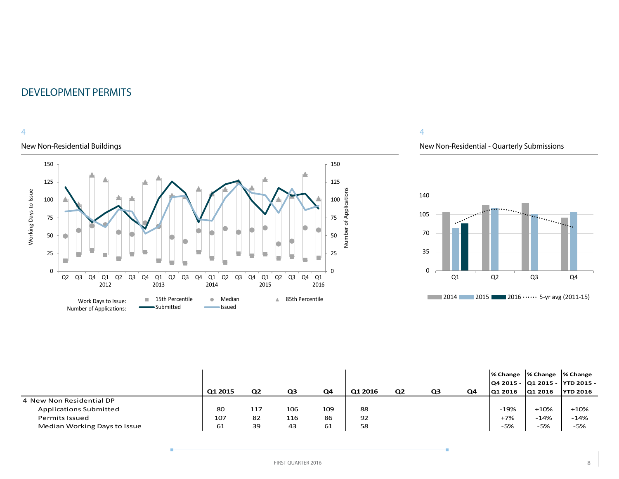# 4

# New Non-Residential Buildings



# 4

# New Non-Residential - Quarterly Submissions



|                               | Q1 2015 | Q <sub>2</sub> | Q3  | Q4  | Q1 2016 | Q <sub>2</sub> | Q3 | Q4 | % Change  % Change  % Change<br>Q1 2016 | Q1 2016 | Q4 2015 -  Q1 2015 -  YTD 2015 -<br><b>YTD 2016</b> |
|-------------------------------|---------|----------------|-----|-----|---------|----------------|----|----|-----------------------------------------|---------|-----------------------------------------------------|
| 4 New Non Residential DP      |         |                |     |     |         |                |    |    |                                         |         |                                                     |
| <b>Applications Submitted</b> | 80      | 117            | 106 | 109 | 88      |                |    |    | $-19%$                                  | $+10%$  | $+10%$                                              |
| <b>Permits Issued</b>         | 107     | 82             | 116 | 86  | 92      |                |    |    | $+7%$                                   | $-14%$  | $-14%$                                              |
| Median Working Days to Issue  | 61      | 39             | 43  | 61  | 58      |                |    |    | -5%                                     | -5%     | $-5%$                                               |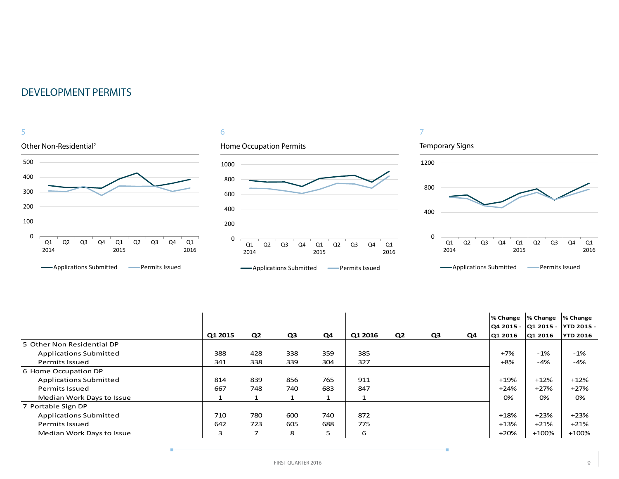

|                               |         |                |     |     |         |                |    |    | % Change  % Change  % Change |         | Q4 2015 -  Q1 2015 -  YTD 2015 - |
|-------------------------------|---------|----------------|-----|-----|---------|----------------|----|----|------------------------------|---------|----------------------------------|
|                               | Q1 2015 | Q2             | Q3  | Q4  | Q1 2016 | Q <sub>2</sub> | Q3 | Q4 | Q1 2016                      | Q1 2016 | <b>YTD 2016</b>                  |
| 5 Other Non Residential DP    |         |                |     |     |         |                |    |    |                              |         |                                  |
| <b>Applications Submitted</b> | 388     | 428            | 338 | 359 | 385     |                |    |    | $+7%$                        | $-1\%$  | $-1%$                            |
| Permits Issued                | 341     | 338            | 339 | 304 | 327     |                |    |    | $+8%$                        | -4%     | -4%                              |
| 6 Home Occupation DP          |         |                |     |     |         |                |    |    |                              |         |                                  |
| <b>Applications Submitted</b> | 814     | 839            | 856 | 765 | 911     |                |    |    | $+19%$                       | $+12%$  | $+12%$                           |
| <b>Permits Issued</b>         | 667     | 748            | 740 | 683 | 847     |                |    |    | $+24%$                       | $+27%$  | $+27%$                           |
| Median Work Days to Issue     |         |                |     | 1   |         |                |    |    | 0%                           | 0%      | 0%                               |
| 7 Portable Sign DP            |         |                |     |     |         |                |    |    |                              |         |                                  |
| <b>Applications Submitted</b> | 710     | 780            | 600 | 740 | 872     |                |    |    | $+18%$                       | $+23%$  | $+23%$                           |
| <b>Permits Issued</b>         | 642     | 723            | 605 | 688 | 775     |                |    |    | $+13%$                       | $+21%$  | $+21%$                           |
| Median Work Days to Issue     | 3       | $\overline{ }$ | 8   | 5   | 6       |                |    |    | $+20%$                       | +100%   | $+100%$                          |

÷

÷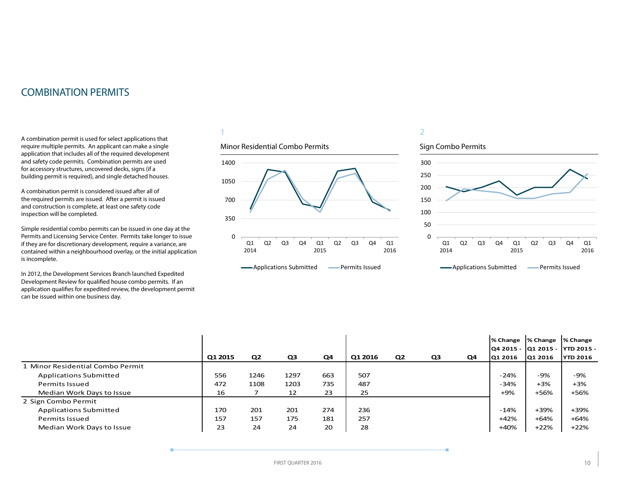# <span id="page-9-0"></span>COMBINATION PERMITS

A combination permit is used for select applications that require multiple permits. An applicant can make a single application that includes all of the required development and safety code permits. Combination permits are used for accessory structures, uncovered decks, signs (if a building permit is required), and single detached houses.

A combination permit is considered issued after all of the required permits are issued. After a permit is issued and construction is complete, at least one safety code inspection will be completed.

Simple residential combo permits can be issued in one day at the Permits and Licensing Service Center. Permits take longer to issue if they are for discretionary development, require a variance, are contained within a neighbourhood overlay, or the initial application is incomplete.

In 2012, the Development Services Branch launched Expedited Development Review for qualified house combo permits. If an application qualifies for expedited review, the development permit can be issued within one business day.

### 1

### Minor Residential Combo Permits



**-**Applications Submitted **-** Permits Issued

# 2



|                                  |         |                |      |     |         |                |    |    |         | % Change  % Change  % Change |                                  |
|----------------------------------|---------|----------------|------|-----|---------|----------------|----|----|---------|------------------------------|----------------------------------|
|                                  |         |                |      |     |         |                |    |    |         |                              | Q4 2015 -  Q1 2015 -  YTD 2015 - |
|                                  | Q1 2015 | Q <sub>2</sub> | Q3   | Q4  | Q1 2016 | Q <sub>2</sub> | Q3 | Q4 | 01 2016 | Q1 2016                      | <b>YTD 2016</b>                  |
| 1 Minor Residential Combo Permit |         |                |      |     |         |                |    |    |         |                              |                                  |
| <b>Applications Submitted</b>    | 556     | 1246           | 1297 | 663 | 507     |                |    |    | $-24%$  | -9%                          | $-9%$                            |
| Permits Issued                   | 472     | 1108           | 1203 | 735 | 487     |                |    |    | $-34%$  | $+3%$                        | $+3%$                            |
| Median Work Days to Issue        | 16      |                | 12   | 23  | 25      |                |    |    | $+9%$   | +56%                         | +56%                             |
| 2 Sign Combo Permit              |         |                |      |     |         |                |    |    |         |                              |                                  |
| <b>Applications Submitted</b>    | 170     | 201            | 201  | 274 | 236     |                |    |    | $-14%$  | +39%                         | +39%                             |
| Permits Issued                   | 157     | 157            | 175  | 181 | 257     |                |    |    | $+42%$  | +64%                         | +64%                             |
| Median Work Days to Issue        | 23      | 24             | 24   | 20  | 28      |                |    |    | $+40%$  | $+22%$                       | $+22%$                           |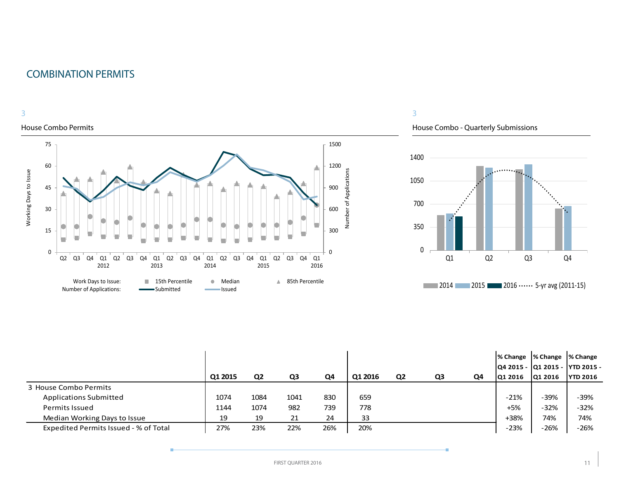# COMBINATION PERMITS



#### House Combo Permits



# 3

House Combo - Quarterly Submissions



|                                       | Q1 2015 | Q <sub>2</sub> | Q3   | Q4  | Q1 2016 | Q2 | Q3 | Q4 | I% Change I% Change I% Change<br>O1 2016 | Q1 2016 | Q4 2015 -  Q1 2015 -  YTD 2015 -<br><b>YTD 2016</b> |
|---------------------------------------|---------|----------------|------|-----|---------|----|----|----|------------------------------------------|---------|-----------------------------------------------------|
| 3 House Combo Permits                 |         |                |      |     |         |    |    |    |                                          |         |                                                     |
| <b>Applications Submitted</b>         | 1074    | 1084           | 1041 | 830 | 659     |    |    |    | $-21%$                                   | $-39%$  | $-39%$                                              |
| <b>Permits Issued</b>                 | 1144    | 1074           | 982  | 739 | 778     |    |    |    | $+5%$                                    | $-32%$  | $-32%$                                              |
| Median Working Days to Issue          | 19      | 19             | 21   | 24  | 33      |    |    |    | $+38%$                                   | 74%     | 74%                                                 |
| Expedited Permits Issued - % of Total | 27%     | 23%            | 22%  | 26% | 20%     |    |    |    | $-23%$                                   | $-26%$  | $-26%$                                              |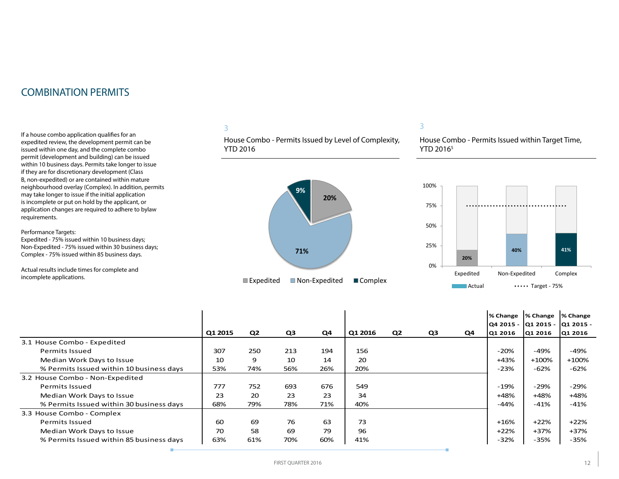# COMBINATION PERMITS

If a house combo application qualifies for an expedited review, the development permit can be issued within one day, and the complete combo permit (development and building) can be issued within 10 business days. Permits take longer to issue if they are for discretionary development (Class B, non-expedited) or are contained within mature neighbourhood overlay (Complex). In addition, permits may take longer to issue if the initial application is incomplete or put on hold by the applicant, or application changes are required to adhere to bylaw requirements.

Performance Targets:

Expedited - 75% issued within 10 business days; Non-Expedited - 75% issued within 30 business days; Complex - 75% issued within 85 business days.

Actual results include times for complete and incomplete applications.

# 3

House Combo - Permits Issued by Level of Complexity, YTD 2016



#### 3

House Combo - Permits Issued within Target Time, YTD 2016<sup>5</sup>



|                                          |         |     |     |     |         |    |                |    | % Change<br> Q4 2015 -  Q1 2015 -  Q1 2015 - | % Change | % Change |
|------------------------------------------|---------|-----|-----|-----|---------|----|----------------|----|----------------------------------------------|----------|----------|
|                                          | Q1 2015 | Q2  | Q3  | Q4  | Q1 2016 | Q2 | Q <sub>3</sub> | Q4 | Q1 2016                                      | Q1 2016  | Q1 2016  |
| 3.1 House Combo - Expedited              |         |     |     |     |         |    |                |    |                                              |          |          |
| Permits Issued                           | 307     | 250 | 213 | 194 | 156     |    |                |    | $-20%$                                       | -49%     | -49%     |
| Median Work Days to Issue                | 10      | 9   | 10  | 14  | 20      |    |                |    | $+43%$                                       | $+100%$  | $+100%$  |
| % Permits Issued within 10 business days | 53%     | 74% | 56% | 26% | 20%     |    |                |    | $-23%$                                       | $-62%$   | $-62%$   |
| 3.2 House Combo - Non-Expedited          |         |     |     |     |         |    |                |    |                                              |          |          |
| <b>Permits Issued</b>                    | 777     | 752 | 693 | 676 | 549     |    |                |    | $-19%$                                       | -29%     | $-29%$   |
| Median Work Days to Issue                | 23      | 20  | 23  | 23  | 34      |    |                |    | +48%                                         | +48%     | +48%     |
| % Permits Issued within 30 business days | 68%     | 79% | 78% | 71% | 40%     |    |                |    | $-44%$                                       | $-41%$   | $-41%$   |
| 3.3 House Combo - Complex                |         |     |     |     |         |    |                |    |                                              |          |          |
| Permits Issued                           | 60      | 69  | 76  | 63  | 73      |    |                |    | $+16%$                                       | $+22%$   | $+22%$   |
| Median Work Days to Issue                | 70      | 58  | 69  | 79  | 96      |    |                |    | $+22%$                                       | $+37%$   | +37%     |
| % Permits Issued within 85 business days | 63%     | 61% | 70% | 60% | 41%     |    |                |    | $-32%$                                       | $-35%$   | $-35%$   |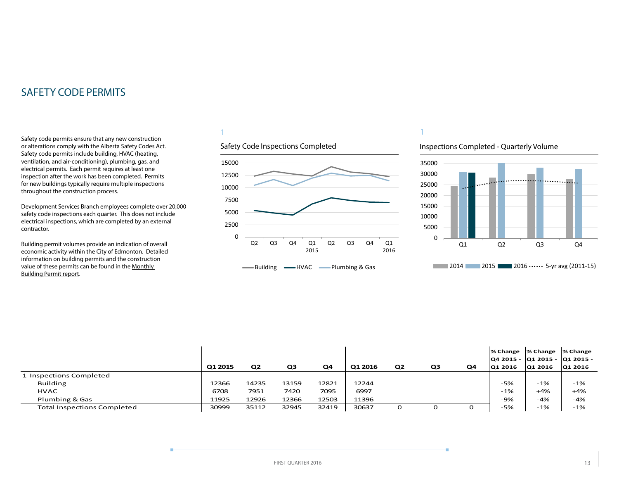<span id="page-12-0"></span>Safety code permits ensure that any new construction or alterations comply with the Alberta Safety Codes Act. Safety code permits include building, HVAC (heating, ventilation, and air-conditioning), plumbing, gas, and electrical permits. Each permit requires at least one inspection after the work has been completed. Permits for new buildings typically require multiple inspections throughout the construction process.

Development Services Branch employees complete over 20,000 safety code inspections each quarter. This does not include electrical inspections, which are completed by an external contractor.

Building permit volumes provide an indication of overall economic activity within the City of Edmonton. Detailed information on building permits and the construction value of these permits can be found in the [Monthly](http://www.edmonton.ca/buildingpermitreport)  [Building Permit report](http://www.edmonton.ca/buildingpermitreport).

# 1



1

# Inspections Completed - Quarterly Volume



|                                    |         |                |       |       |         |                |                |    |         | % Change  % Change  % Change     |         |
|------------------------------------|---------|----------------|-------|-------|---------|----------------|----------------|----|---------|----------------------------------|---------|
|                                    |         |                |       |       |         |                |                |    |         | lQ4 2015 - lQ1 2015 - lQ1 2015 - |         |
|                                    | Q1 2015 | Q <sub>2</sub> | Q3    | Q4    | Q1 2016 | Q <sub>2</sub> | Q <sub>3</sub> | Q4 | Q1 2016 | Q1 2016                          | Q1 2016 |
| 1 Inspections Completed            |         |                |       |       |         |                |                |    |         |                                  |         |
| <b>Building</b>                    | 12366   | 14235          | 13159 | 12821 | 12244   |                |                |    | $-5%$   | $-1%$                            | $-1%$   |
| <b>HVAC</b>                        | 6708    | 7951           | 7420  | 7095  | 6997    |                |                |    | $-1%$   | $+4%$                            | $+4%$   |
| Plumbing & Gas                     | 11925   | 12926          | 12366 | 12503 | 11396   |                |                |    | -9%     | $-4%$                            | $-4%$   |
| <b>Total Inspections Completed</b> | 30999   | 35112          | 32945 | 32419 | 30637   | 0              |                | o  | $-5%$   | $-1%$                            | $-1%$   |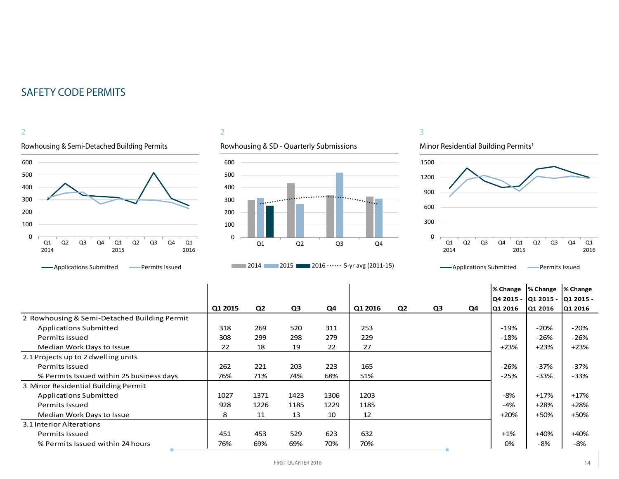

#### **-**Applications Submitted **-** Permits Issued

# 2



# **2014** 2015 2016  $\cdots$  2016 2016 2011-15)

# 3

# Minor Residential Building Permits<sup>1</sup>



# **-**Applications Submitted **-** Permits Issued

|                                              |         |                |      |      |         |                |    |    | % Change  % Change |                                            | % Change |
|----------------------------------------------|---------|----------------|------|------|---------|----------------|----|----|--------------------|--------------------------------------------|----------|
|                                              | Q1 2015 | Q <sub>2</sub> | Q3   | Q4   | Q1 2016 | Q <sub>2</sub> | Q3 | Q4 | Q1 2016            | Q4 2015 -  Q1 2015 -  Q1 2015 -<br>Q1 2016 | Q1 2016  |
| 2 Rowhousing & Semi-Detached Building Permit |         |                |      |      |         |                |    |    |                    |                                            |          |
| <b>Applications Submitted</b>                | 318     | 269            | 520  | 311  | 253     |                |    |    | $-19%$             | $-20%$                                     | $-20%$   |
| Permits Issued                               | 308     | 299            | 298  | 279  | 229     |                |    |    | $-18%$             | $-26%$                                     | $-26%$   |
| Median Work Days to Issue                    | 22      | 18             | 19   | 22   | 27      |                |    |    | $+23%$             | $+23%$                                     | $+23%$   |
| 2.1 Projects up to 2 dwelling units          |         |                |      |      |         |                |    |    |                    |                                            |          |
| Permits Issued                               | 262     | 221            | 203  | 223  | 165     |                |    |    | $-26%$             | $-37%$                                     | $-37%$   |
| % Permits Issued within 25 business days     | 76%     | 71%            | 74%  | 68%  | 51%     |                |    |    | -25%               | $-33%$                                     | $-33%$   |
| 3 Minor Residential Building Permit          |         |                |      |      |         |                |    |    |                    |                                            |          |
| <b>Applications Submitted</b>                | 1027    | 1371           | 1423 | 1306 | 1203    |                |    |    | $-8%$              | $+17%$                                     | $+17%$   |
| Permits Issued                               | 928     | 1226           | 1185 | 1229 | 1185    |                |    |    | $-4%$              | $+28%$                                     | $+28%$   |
| Median Work Days to Issue                    | 8       | 11             | 13   | 10   | 12      |                |    |    | $+20%$             | $+50%$                                     | +50%     |
| 3.1 Interior Alterations                     |         |                |      |      |         |                |    |    |                    |                                            |          |
| Permits Issued                               | 451     | 453            | 529  | 623  | 632     |                |    |    | $+1%$              | $+40%$                                     | $+40%$   |
| % Permits Issued within 24 hours             | 76%     | 69%            | 69%  | 70%  | 70%     |                |    |    | 0%                 | -8%                                        | -8%      |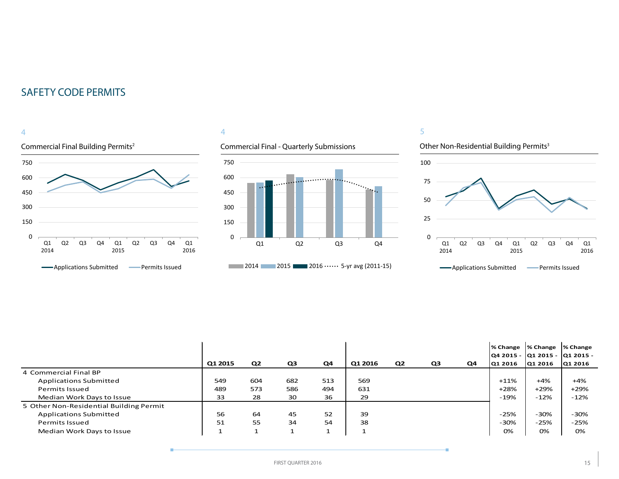

# 4

# Commercial Final - Quarterly Submissions



# 5



|                                         |         |                |     |     |         |                |    |    | % Change  % Change<br> Q4 2015 -  Q1 2015 -  Q1 2015 - |         | <b>1% Change</b> |
|-----------------------------------------|---------|----------------|-----|-----|---------|----------------|----|----|--------------------------------------------------------|---------|------------------|
|                                         | Q1 2015 | Q <sub>2</sub> | Q3  | Q4  | Q1 2016 | Q <sub>2</sub> | Q3 | Q4 | Q1 2016                                                | Q1 2016 | Q1 2016          |
| 4 Commercial Final BP                   |         |                |     |     |         |                |    |    |                                                        |         |                  |
| <b>Applications Submitted</b>           | 549     | 604            | 682 | 513 | 569     |                |    |    | $+11%$                                                 | $+4%$   | $+4%$            |
| Permits Issued                          | 489     | 573            | 586 | 494 | 631     |                |    |    | $+28%$                                                 | $+29%$  | $+29%$           |
| Median Work Days to Issue               | 33      | 28             | 30  | 36  | 29      |                |    |    | $-19%$                                                 | $-12%$  | $-12%$           |
| 5 Other Non-Residential Building Permit |         |                |     |     |         |                |    |    |                                                        |         |                  |
| <b>Applications Submitted</b>           | 56      | 64             | 45  | 52  | 39      |                |    |    | $-25%$                                                 | $-30%$  | -30%             |
| Permits Issued                          | 51      | 55             | 34  | 54  | 38      |                |    |    | $-30%$                                                 | -25%    | $-25%$           |
| Median Work Days to Issue               |         |                |     |     | ٠<br>J. |                |    |    | 0%                                                     | 0%      | 0%               |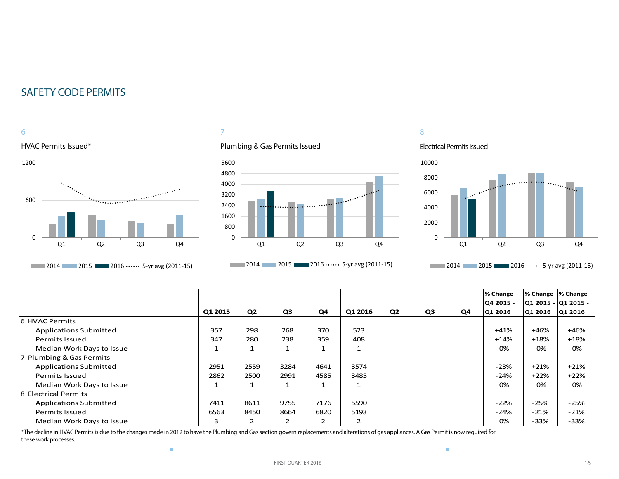6

# HVAC Permits Issued\* 1200 600  $\Omega$ Q1 Q2 Q3 Q4 **2014** 2015 2016 0.000 2016 2011-15)



# Plumbing & Gas Permits Issued



**2014** 2015 2016 0.000 2016 2011-15)

# 8

#### Electrical Permits Issued

÷



**2014** 2015 2016  $\cdots$  5-yr avg (2011-15)

|                               |         |                |      |      |                |                |    |    | % Change  | % Change  % Change   |        |
|-------------------------------|---------|----------------|------|------|----------------|----------------|----|----|-----------|----------------------|--------|
|                               |         |                |      |      |                |                |    |    | Q4 2015 - | Q1 2015 -  Q1 2015 - |        |
|                               | Q1 2015 | Q <sub>2</sub> | Q3   | Q4   | Q1 2016        | Q <sub>2</sub> | Q3 | Q4 | Q1 2016   | Q1 2016 Q1 2016      |        |
| 6 HVAC Permits                |         |                |      |      |                |                |    |    |           |                      |        |
| <b>Applications Submitted</b> | 357     | 298            | 268  | 370  | 523            |                |    |    | $+41%$    | $+46%$               | +46%   |
| <b>Permits Issued</b>         | 347     | 280            | 238  | 359  | 408            |                |    |    | +14%      | $+18%$               | +18%   |
| Median Work Days to Issue     |         |                |      |      |                |                |    |    | 0%        | 0%                   | 0%     |
| 7 Plumbing & Gas Permits      |         |                |      |      |                |                |    |    |           |                      |        |
| <b>Applications Submitted</b> | 2951    | 2559           | 3284 | 4641 | 3574           |                |    |    | $-23%$    | $+21%$               | $+21%$ |
| <b>Permits Issued</b>         | 2862    | 2500           | 2991 | 4585 | 3485           |                |    |    | -24%      | $+22%$               | $+22%$ |
| Median Work Days to Issue     |         | $\mathbf{1}$   |      |      |                |                |    |    | 0%        | 0%                   | 0%     |
| 8 Electrical Permits          |         |                |      |      |                |                |    |    |           |                      |        |
| <b>Applications Submitted</b> | 7411    | 8611           | 9755 | 7176 | 5590           |                |    |    | $-22%$    | $-25%$               | $-25%$ |
| <b>Permits Issued</b>         | 6563    | 8450           | 8664 | 6820 | 5193           |                |    |    | $-24%$    | $-21%$               | $-21%$ |
| Median Work Days to Issue     | 3       | $\overline{2}$ | 2    | 2    | $\overline{2}$ |                |    |    | 0%        | $-33%$               | $-33%$ |

\*The decline in HVAC Permits is due to the changes made in 2012 to have the Plumbing and Gas section govern replacements and alterations of gas appliances. A Gas Permit is now required for these work processes.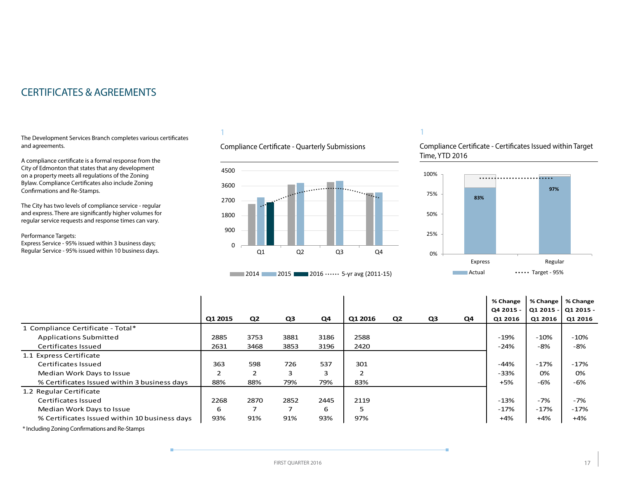# <span id="page-16-0"></span>CERTIFICATES & AGREEMENTS

The Development Services Branch completes various certificates and agreements.

A compliance certificate is a formal response from the City of Edmonton that states that any development on a property meets all regulations of the Zoning Bylaw. Compliance Certificates also include Zoning Confirmations and Re-Stamps.

The City has two levels of compliance service - regular and express. There are significantly higher volumes for regular service requests and response times can vary.

#### Performance Targets:

Express Service - 95% issued within 3 business days; Regular Service - 95% issued within 10 business days.

# 1

# Compliance Certificate - Quarterly Submissions



# **2014** 2015 **2016 ••••••** 5-yr avg (2011-15)

1

### Compliance Certificate - Certificates Issued within Target Time, YTD 2016



|                                               |                |                |      |      |         |                |                |    | % Change  | % Change    | % Change  |
|-----------------------------------------------|----------------|----------------|------|------|---------|----------------|----------------|----|-----------|-------------|-----------|
|                                               |                |                |      |      |         |                |                |    | Q4 2015 - | Q1 2015 - l | Q1 2015 - |
|                                               | Q1 2015        | Q <sub>2</sub> | Q3   | Q4   | Q1 2016 | Q <sub>2</sub> | Q <sub>3</sub> | Q4 | Q1 2016   | Q1 2016     | Q1 2016   |
| 1 Compliance Certificate - Total*             |                |                |      |      |         |                |                |    |           |             |           |
| <b>Applications Submitted</b>                 | 2885           | 3753           | 3881 | 3186 | 2588    |                |                |    | $-19%$    | $-10%$      | $-10%$    |
| Certificates Issued                           | 2631           | 3468           | 3853 | 3196 | 2420    |                |                |    | $-24%$    | -8%         | -8%       |
| 1.1 Express Certificate                       |                |                |      |      |         |                |                |    |           |             |           |
| Certificates Issued                           | 363            | 598            | 726  | 537  | 301     |                |                |    | $-44%$    | $-17%$      | $-17%$    |
| Median Work Days to Issue                     | $\overline{2}$ | 2              |      | 3    | ຳ       |                |                |    | $-33%$    | 0%          | 0%        |
| % Certificates Issued within 3 business days  | 88%            | 88%            | 79%  | 79%  | 83%     |                |                |    | $+5%$     | $-6%$       | $-6%$     |
| 1.2 Regular Certificate                       |                |                |      |      |         |                |                |    |           |             |           |
| Certificates Issued                           | 2268           | 2870           | 2852 | 2445 | 2119    |                |                |    | $-13%$    | $-7%$       | $-7%$     |
| Median Work Days to Issue                     | 6              | 7              |      | 6    | 5       |                |                |    | $-17%$    | $-17%$      | $-17%$    |
| % Certificates Issued within 10 business days | 93%            | 91%            | 91%  | 93%  | 97%     |                |                |    | $+4%$     | +4%         | $+4%$     |

\* Including Zoning Confirmations and Re-Stamps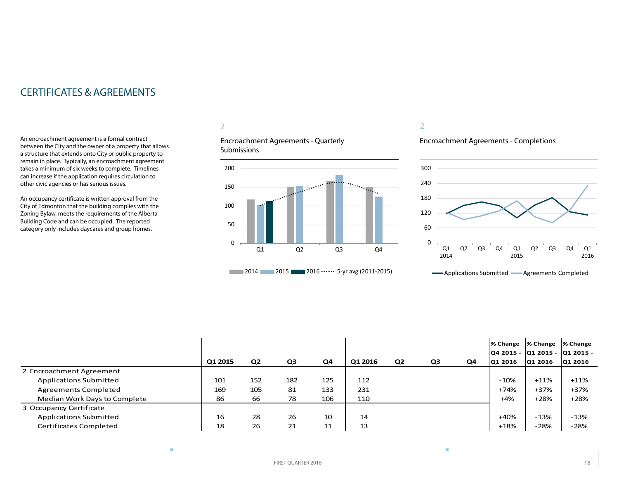# CERTIFICATES & AGREEMENTS

An encroachment agreement is a formal contract between the City and the owner of a property that allows a structure that extends onto City or public property to remain in place. Typically, an encroachment agreement takes a minimum of six weeks to complete. Timelines can increase if the application requires circulation to other civic agencies or has serious issues.

An occupancy certificate is written approval from the City of Edmonton that the building complies with the Zoning Bylaw, meets the requirements of the Alberta Building Code and can be occupied. The reported category only includes daycares and group homes.

# 2

Encroachment Agreements - Quarterly **Submissions** 



#### 2

# Encroachment Agreements - Completions



|                               |         |                |     |     |         |    |    |    | % Change                        | │% Change │% Change |         |
|-------------------------------|---------|----------------|-----|-----|---------|----|----|----|---------------------------------|---------------------|---------|
|                               |         |                |     |     |         |    |    |    | Q4 2015 -  Q1 2015 -  Q1 2015 - |                     |         |
|                               | Q1 2015 | Q <sub>2</sub> | Q3  | Q4  | Q1 2016 | Q2 | Q3 | Q4 | Q1 2016                         | Q1 2016             | Q1 2016 |
| 2 Encroachment Agreement      |         |                |     |     |         |    |    |    |                                 |                     |         |
| <b>Applications Submitted</b> | 101     | 152            | 182 | 125 | 112     |    |    |    | $-10%$                          | $+11%$              | $+11%$  |
| <b>Agreements Completed</b>   | 169     | 105            | 81  | 133 | 231     |    |    |    | +74%                            | +37%                | $+37%$  |
| Median Work Days to Complete  | 86      | 66             | 78  | 106 | 110     |    |    |    | $+4%$                           | +28%                | $+28%$  |
| 3 Occupancy Certificate       |         |                |     |     |         |    |    |    |                                 |                     |         |
| <b>Applications Submitted</b> | 16      | 28             | 26  | 10  | 14      |    |    |    | $+40%$                          | $-13%$              | -13%    |
| Certificates Completed        | 18      | 26             | 21  | 11  | 13      |    |    |    | $+18%$                          | $-28%$              | $-28%$  |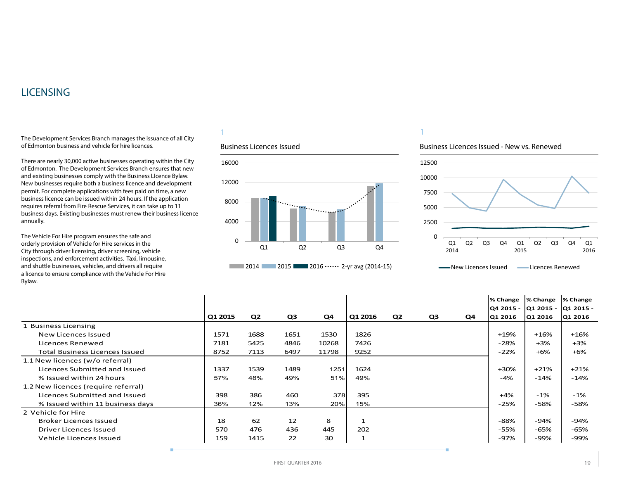# <span id="page-18-0"></span>LICENSING

The Development Services Branch manages the issuance of all City of Edmonton business and vehicle for hire licences.

There are nearly 30,000 active businesses operating within the City of Edmonton. The Development Services Branch ensures that new and existing businesses comply with the Business LIcence Bylaw. New businesses require both a business licence and development permit. For complete applications with fees paid on time, a new business licence can be issued within 24 hours. If the application requires referral from Fire Rescue Services, it can take up to 11 business days. Existing businesses must renew their business licence annually.

The Vehicle For Hire program ensures the safe and orderly provision of Vehicle for Hire services in the City through driver licensing, driver screening, vehicle inspections, and enforcement activities. Taxi, limousine, and shuttle businesses, vehicles, and drivers all require a licence to ensure compliance with the Vehicle For Hire Bylaw.

# 1

#### Business Licences Issued



# 1

#### Business Licences Issued - New vs. Renewed



**WALLET ARE ASSESSED AT A Licences Renewed** 

|                                       |         |                |      |       |              |                |    |    | % Change             | % Change | % Change  |
|---------------------------------------|---------|----------------|------|-------|--------------|----------------|----|----|----------------------|----------|-----------|
|                                       |         |                |      |       |              |                |    |    | Q4 2015 -  Q1 2015 - |          | Q1 2015 - |
|                                       | Q1 2015 | Q <sub>2</sub> | Q3   | Q4    | Q1 2016      | Q <sub>2</sub> | Q3 | Q4 | Q1 2016              | Q1 2016  | Q1 2016   |
| 1 Business Licensing                  |         |                |      |       |              |                |    |    |                      |          |           |
| New Licences Issued                   | 1571    | 1688           | 1651 | 1530  | 1826         |                |    |    | $+19%$               | $+16%$   | $+16%$    |
| Licences Renewed                      | 7181    | 5425           | 4846 | 10268 | 7426         |                |    |    | -28%                 | $+3%$    | $+3%$     |
| <b>Total Business Licences Issued</b> | 8752    | 7113           | 6497 | 11798 | 9252         |                |    |    | $-22%$               | $+6%$    | $+6%$     |
| 1.1 New licences (w/o referral)       |         |                |      |       |              |                |    |    |                      |          |           |
| Licences Submitted and Issued         | 1337    | 1539           | 1489 | 1251  | 1624         |                |    |    | $+30%$               | $+21%$   | $+21%$    |
| % Issued within 24 hours              | 57%     | 48%            | 49%  | 51%   | 49%          |                |    |    | -4%                  | $-14%$   | $-14%$    |
| 1.2 New licences (require referral)   |         |                |      |       |              |                |    |    |                      |          |           |
| Licences Submitted and Issued         | 398     | 386            | 460  | 378   | 395          |                |    |    | +4%                  | $-1%$    | $-1\%$    |
| % Issued within 11 business days      | 36%     | 12%            | 13%  | 20%   | 15%          |                |    |    | $-25%$               | -58%     | $-58%$    |
| 2 Vehicle for Hire                    |         |                |      |       |              |                |    |    |                      |          |           |
| Broker Licences Issued                | 18      | 62             | 12   | 8     | $\mathbf{1}$ |                |    |    | -88%                 | -94%     | -94%      |
| Driver Licences Issued                | 570     | 476            | 436  | 445   | 202          |                |    |    | -55%                 | -65%     | -65%      |
| Vehicle Licences Issued               | 159     | 1415           | 22   | 30    | $\mathbf{1}$ |                |    |    | -97%                 | -99%     | -99%      |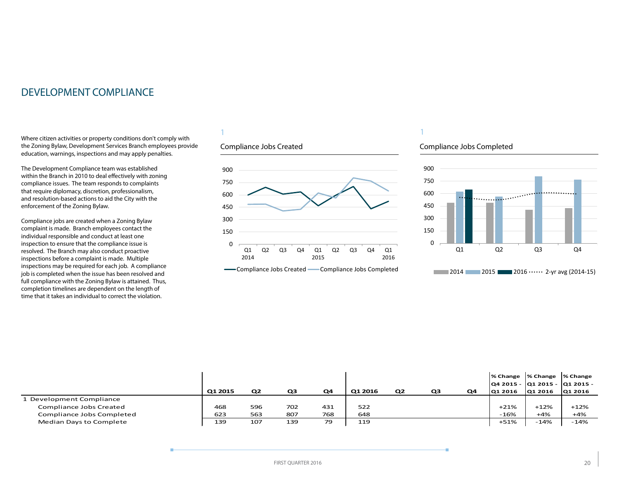# <span id="page-19-0"></span>DEVELOPMENT COMPLIANCE

Where citizen activities or property conditions don't comply with the Zoning Bylaw, Development Services Branch employees provide education, warnings, inspections and may apply penalties.

The Development Compliance team was established within the Branch in 2010 to deal effectively with zoning compliance issues. The team responds to complaints that require diplomacy, discretion, professionalism, and resolution-based actions to aid the City with the enforcement of the Zoning Bylaw.

Compliance jobs are created when a Zoning Bylaw complaint is made. Branch employees contact the individual responsible and conduct at least one inspection to ensure that the compliance issue is resolved. The Branch may also conduct proactive inspections before a complaint is made. Multiple inspections may be required for each job. A compliance job is completed when the issue has been resolved and full compliance with the Zoning Bylaw is attained. Thus, completion timelines are dependent on the length of time that it takes an individual to correct the violation.

# 1

# Compliance Jobs Created





# 1

#### Compliance Jobs Completed



|                           | Q1 2015 | Q <sub>2</sub> | Q3  | Q4  | Q1 2016 | Q <sub>2</sub> | Q3 | Q4 | % Change  % Change  % Change<br> Q4 2015 -  Q1 2015 -  Q1 2015 -<br>Q1 2016 | Q1 2016 | Q1 2016 |
|---------------------------|---------|----------------|-----|-----|---------|----------------|----|----|-----------------------------------------------------------------------------|---------|---------|
| 1 Development Compliance  |         |                |     |     |         |                |    |    |                                                                             |         |         |
| Compliance Jobs Created   | 468     | 596            | 702 | 431 | 522     |                |    |    | $+21%$                                                                      | $+12%$  | $+12%$  |
| Compliance Jobs Completed | 623     | 563            | 807 | 768 | 648     |                |    |    | $-16%$                                                                      | $+4%$   | $+4%$   |
| Median Days to Complete   | 139     | 107            | 139 | 79  | 119     |                |    |    | $+51%$                                                                      | $-14%$  | $-14%$  |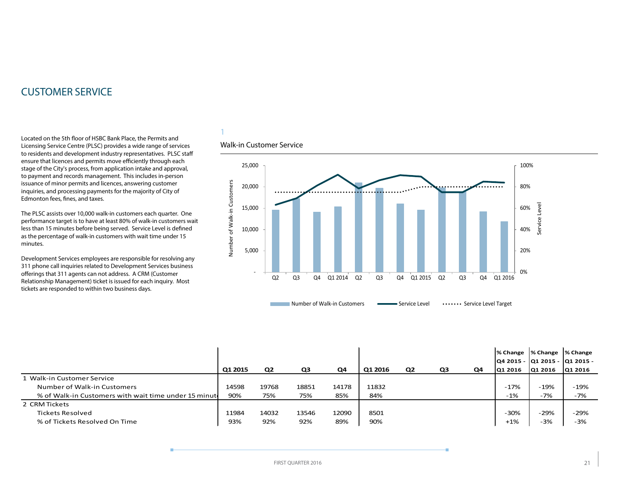# <span id="page-20-0"></span>CUSTOMER SERVICE

Located on the 5th floor of HSBC Bank Place, the Permits and Licensing Service Centre (PLSC) provides a wide range of services to residents and development industry representatives. PLSC staff ensure that licences and permits move efficiently through each stage of the City's process, from application intake and approval, to payment and records management. This includes in-person issuance of minor permits and licences, answering customer inquiries, and processing payments for the majority of City of Edmonton fees, fines, and taxes.

The PLSC assists over 10,000 walk-in customers each quarter. One performance target is to have at least 80% of walk-in customers wait less than 15 minutes before being served. Service Level is defined as the percentage of walk-in customers with wait time under 15 minutes.

Development Services employees are responsible for resolving any 311 phone call inquiries related to Development Services business offerings that 311 agents can not address. A CRM (Customer Relationship Management) ticket is issued for each inquiry. Most tickets are responded to within two business days.

# 1

# Walk-in Customer Service



|                                                       |         |                |       |       |         |                |    |    | % Change  % Change  % Change    |         |         |
|-------------------------------------------------------|---------|----------------|-------|-------|---------|----------------|----|----|---------------------------------|---------|---------|
|                                                       |         |                |       |       |         |                |    |    | Q4 2015 -  Q1 2015 -  Q1 2015 - |         |         |
|                                                       | Q1 2015 | Q <sub>2</sub> | Q3    | Q4    | Q1 2016 | Q <sub>2</sub> | Q3 | Q4 | Q1 2016                         | Q1 2016 | Q1 2016 |
| 1 Walk-in Customer Service                            |         |                |       |       |         |                |    |    |                                 |         |         |
| Number of Walk-in Customers                           | 14598   | 19768          | 18851 | 14178 | 11832   |                |    |    | $-17%$                          | $-19%$  | $-19%$  |
| % of Walk-in Customers with wait time under 15 minute | 90%     | 75%            | 75%   | 85%   | 84%     |                |    |    | $-1%$                           | $-7%$   | -7%     |
| 2 CRM Tickets                                         |         |                |       |       |         |                |    |    |                                 |         |         |
| Tickets Resolved                                      | 11984   | 14032          | 13546 | 12090 | 8501    |                |    |    | $-30%$                          | $-29%$  | $-29%$  |
| % of Tickets Resolved On Time                         | 93%     | 92%            | 92%   | 89%   | 90%     |                |    |    | $+1%$                           | $-3%$   | $-3%$   |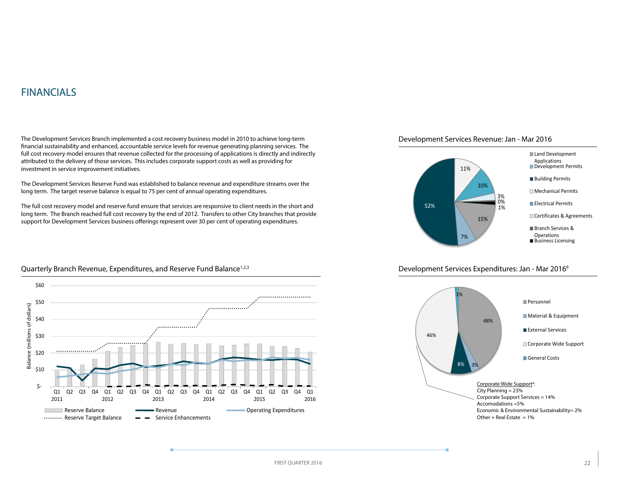# <span id="page-21-0"></span>FINANCIALS

Balance (millions of dollars)

Balance (millions of dollars)

The Development Services Branch implemented a cost recovery business model in 2010 to achieve long-term financial sustainability and enhanced, accountable service levels for revenue generating planning services. The full cost recovery model ensures that revenue collected for the processing of applications is directly and indirectly attributed to the delivery of those services. This includes corporate support costs as well as providing for investment in service improvement initiatives.

The Development Services Reserve Fund was established to balance revenue and expenditure streams over the long term. The target reserve balance is equal to 75 per cent of annual operating expenditures.

The full cost recovery model and reserve fund ensure that services are responsive to client needs in the short and long term. The Branch reached full cost recovery by the end of 2012. Transfers to other City branches that provide support for Development Services business offerings represent over 30 per cent of operating expenditures.





#### Development Services Expenditures: Jan - Mar 20166





#### Quarterly Branch Revenue, Expenditures, and Reserve Fund Balance<sup>1,2,3</sup>